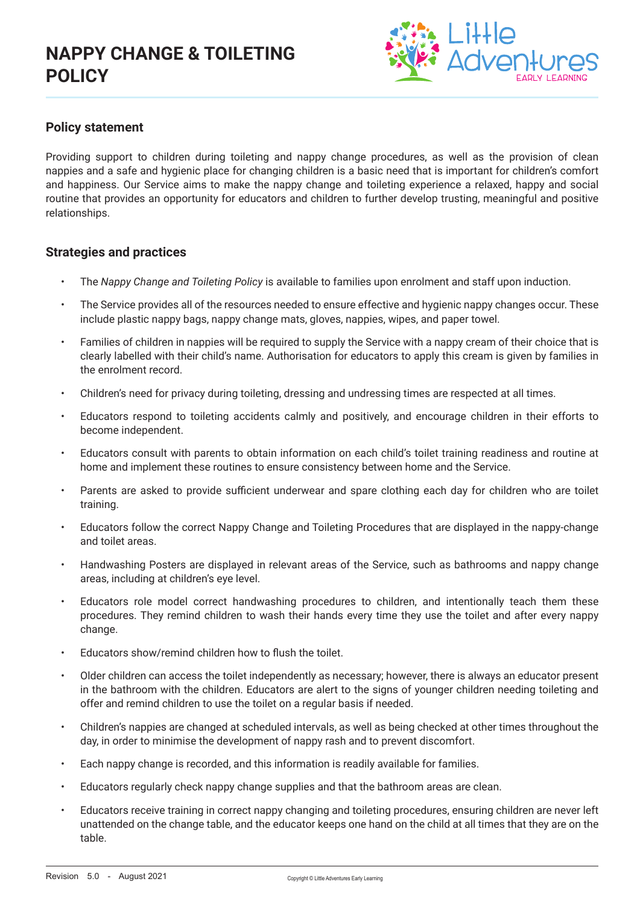

## **Policy statement**

Providing support to children during toileting and nappy change procedures, as well as the provision of clean nappies and a safe and hygienic place for changing children is a basic need that is important for children's comfort and happiness. Our Service aims to make the nappy change and toileting experience a relaxed, happy and social routine that provides an opportunity for educators and children to further develop trusting, meaningful and positive relationships.

### **Strategies and practices**

- The *Nappy Change and Toileting Policy* is available to families upon enrolment and staff upon induction.
- The Service provides all of the resources needed to ensure effective and hygienic nappy changes occur. These include plastic nappy bags, nappy change mats, gloves, nappies, wipes, and paper towel.
- Families of children in nappies will be required to supply the Service with a nappy cream of their choice that is clearly labelled with their child's name. Authorisation for educators to apply this cream is given by families in the enrolment record.
- Children's need for privacy during toileting, dressing and undressing times are respected at all times.
- Educators respond to toileting accidents calmly and positively, and encourage children in their efforts to become independent.
- Educators consult with parents to obtain information on each child's toilet training readiness and routine at home and implement these routines to ensure consistency between home and the Service.
- Parents are asked to provide sufficient underwear and spare clothing each day for children who are toilet training.
- Educators follow the correct Nappy Change and Toileting Procedures that are displayed in the nappy-change and toilet areas.
- Handwashing Posters are displayed in relevant areas of the Service, such as bathrooms and nappy change areas, including at children's eye level.
- Educators role model correct handwashing procedures to children, and intentionally teach them these procedures. They remind children to wash their hands every time they use the toilet and after every nappy change.
- Educators show/remind children how to flush the toilet.
- Older children can access the toilet independently as necessary; however, there is always an educator present in the bathroom with the children. Educators are alert to the signs of younger children needing toileting and offer and remind children to use the toilet on a regular basis if needed.
- Children's nappies are changed at scheduled intervals, as well as being checked at other times throughout the day, in order to minimise the development of nappy rash and to prevent discomfort.
- Each nappy change is recorded, and this information is readily available for families.
- Educators regularly check nappy change supplies and that the bathroom areas are clean.
- Educators receive training in correct nappy changing and toileting procedures, ensuring children are never left unattended on the change table, and the educator keeps one hand on the child at all times that they are on the table.